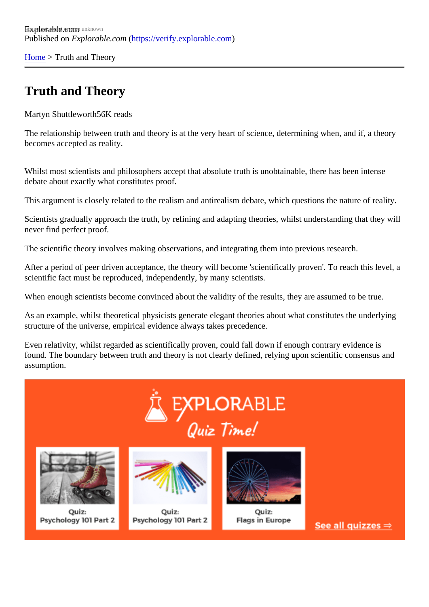[Home](https://verify.explorable.com/) > Truth and Theory

## Truth and Theory

Martyn Shuttlewort 56K reads

The relationship between truth and theory is at the very heart of science, determining when, and if, a theor becomes accepted as reality.

Whilst most scientists and philosophers accept that absolute truth is unobtainable, there has been intense debate about exactly what constitutes proof.

This argument is closely related to the realism and antirealism debate, which questions the nature of realit

Scientists gradually approach the truth, by refining and adapting theories, whilst understanding that they will never find perfect proof.

The scientific theory involves making observations, and integrating them into previous research.

After a period of peer driven acceptance, the theory will become 'scientifically proven'. To reach this level, scientific fact must be reproduced, independently, by many scientists.

When enough scientists become convinced about the validity of the results, they are assumed to be true.

As an example, whilst theoretical physicists generate elegant theories about what constitutes the underlying structure of the universe, empirical evidence always takes precedence.

Even relativity, whilst regarded as scientifically proven, could fall down if enough contrary evidence is found. The boundary between truth and theory is not clearly defined, relying upon scientific consensus and assumption.